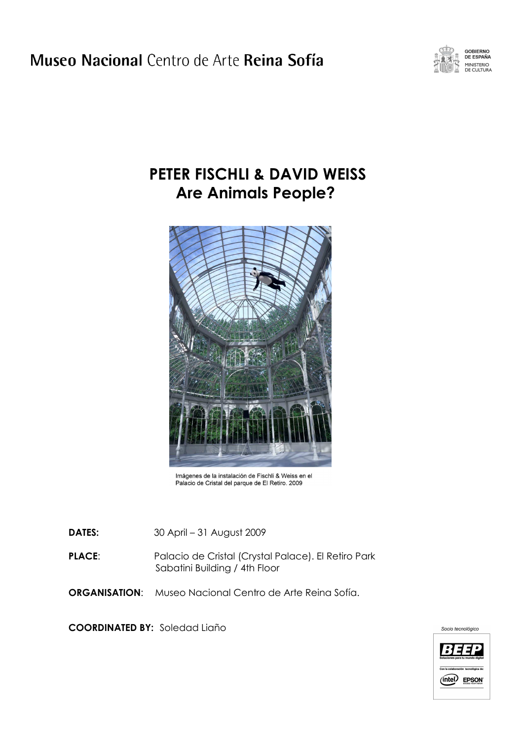

## **PETER FISCHLI & DAVID WEISS Are Animals People?**



Imágenes de la instalación de Fischli & Weiss en el Palacio de Cristal del parque de El Retiro. 2009

- **DATES:** 30 April 31 August 2009
- **PLACE**: Palacio de Cristal (Crystal Palace). El Retiro Park Sabatini Building / 4th Floor
- **ORGANISATION**: Museo Nacional Centro de Arte Reina Sofía.

**COORDINATED BY:** Soledad Liaño

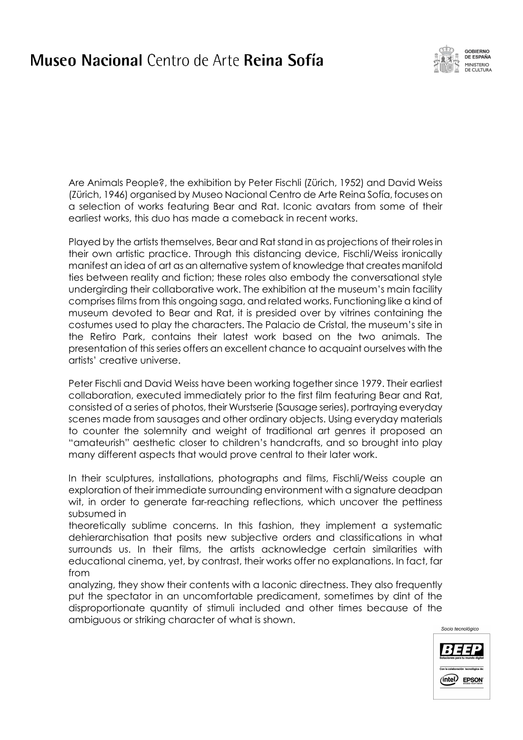## Museo Nacional Centro de Arte Reina Sofía



Are Animals People?, the exhibition by Peter Fischli (Zürich, 1952) and David Weiss (Zürich, 1946) organised by Museo Nacional Centro de Arte Reina Sofía, focuses on a selection of works featuring Bear and Rat. Iconic avatars from some of their earliest works, this duo has made a comeback in recent works.

Played by the artists themselves, Bear and Rat stand in as projections of their roles in their own artistic practice. Through this distancing device, Fischli/Weiss ironically manifest an idea of art as an alternative system of knowledge that creates manifold ties between reality and fiction; these roles also embody the conversational style undergirding their collaborative work. The exhibition at the museum's main facility comprises films from this ongoing saga, and related works. Functioning like a kind of museum devoted to Bear and Rat, it is presided over by vitrines containing the costumes used to play the characters. The Palacio de Cristal, the museum's site in the Retiro Park, contains their latest work based on the two animals. The presentation of this series offers an excellent chance to acquaint ourselves with the artists' creative universe.

Peter Fischli and David Weiss have been working together since 1979. Their earliest collaboration, executed immediately prior to the first film featuring Bear and Rat, consisted of a series of photos, their Wurstserie (Sausage series), portraying everyday scenes made from sausages and other ordinary objects. Using everyday materials to counter the solemnity and weight of traditional art genres it proposed an "amateurish" aesthetic closer to children's handcrafts, and so brought into play many different aspects that would prove central to their later work.

In their sculptures, installations, photographs and films, Fischli/Weiss couple an exploration of their immediate surrounding environment with a signature deadpan wit, in order to generate far-reaching reflections, which uncover the pettiness subsumed in

theoretically sublime concerns. In this fashion, they implement a systematic dehierarchisation that posits new subjective orders and classifications in what surrounds us. In their films, the artists acknowledge certain similarities with educational cinema, yet, by contrast, their works offer no explanations. In fact, far from

analyzing, they show their contents with a laconic directness. They also frequently put the spectator in an uncomfortable predicament, sometimes by dint of the disproportionate quantity of stimuli included and other times because of the ambiguous or striking character of what is shown.